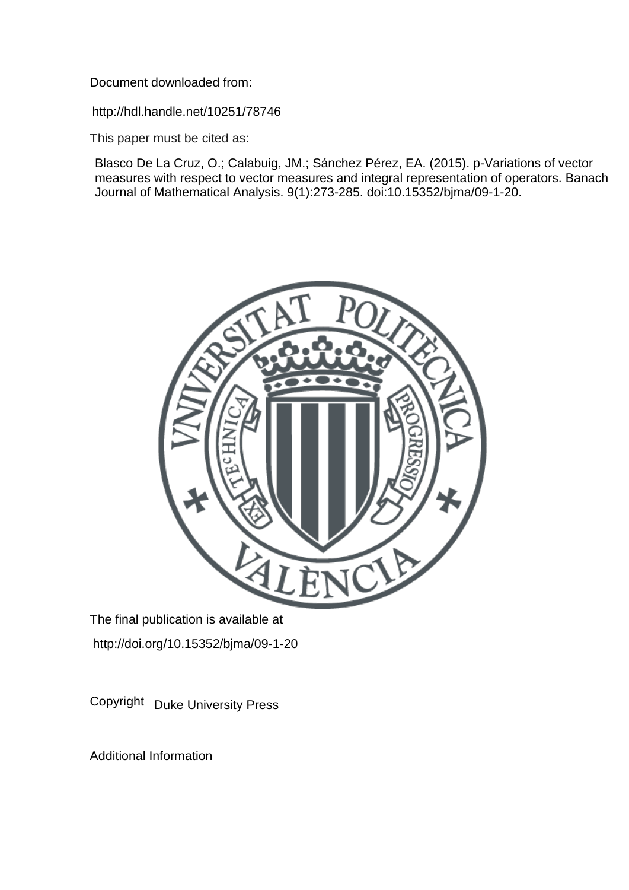Document downloaded from:

http://hdl.handle.net/10251/78746

This paper must be cited as:

Blasco De La Cruz, O.; Calabuig, JM.; Sánchez Pérez, EA. (2015). p-Variations of vector measures with respect to vector measures and integral representation of operators. Banach Journal of Mathematical Analysis. 9(1):273-285. doi:10.15352/bjma/09-1-20.



The final publication is available at http://doi.org/10.15352/bjma/09-1-20

Copyright Duke University Press

Additional Information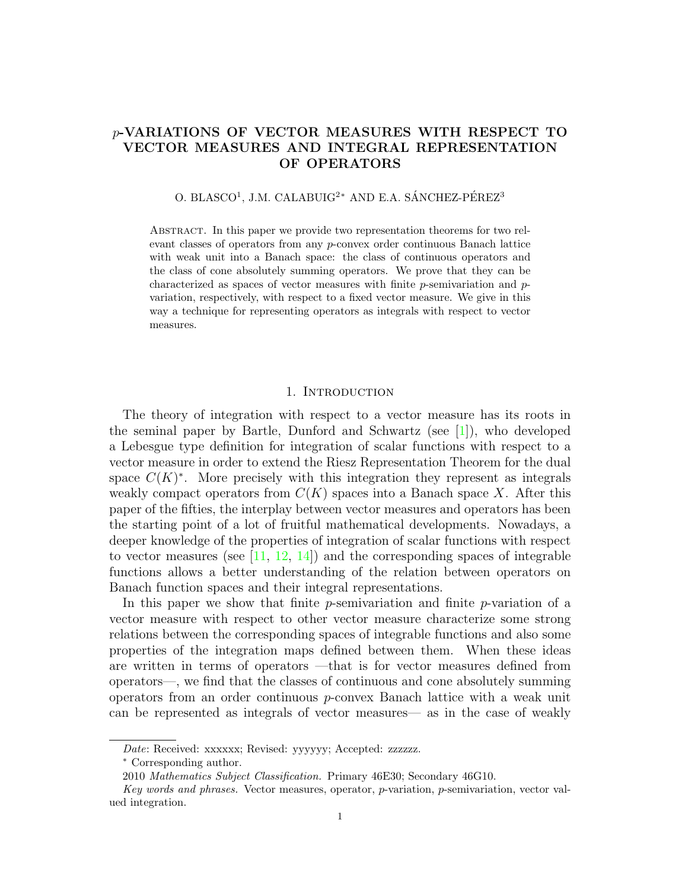# p-VARIATIONS OF VECTOR MEASURES WITH RESPECT TO VECTOR MEASURES AND INTEGRAL REPRESENTATION OF OPERATORS

## O. BLASCO<sup>1</sup>, J.M. CALABUIG<sup>2</sup>\* AND E.A. SÁNCHEZ-PÉREZ<sup>3</sup>

Abstract. In this paper we provide two representation theorems for two relevant classes of operators from any p-convex order continuous Banach lattice with weak unit into a Banach space: the class of continuous operators and the class of cone absolutely summing operators. We prove that they can be characterized as spaces of vector measures with finite  $p$ -semivariation and  $p$ variation, respectively, with respect to a fixed vector measure. We give in this way a technique for representing operators as integrals with respect to vector measures.

#### 1. Introduction

The theory of integration with respect to a vector measure has its roots in the seminal paper by Bartle, Dunford and Schwartz (see  $[1]$ ), who developed a Lebesgue type definition for integration of scalar functions with respect to a vector measure in order to extend the Riesz Representation Theorem for the dual space  $C(K)^*$ . More precisely with this integration they represent as integrals weakly compact operators from  $C(K)$  spaces into a Banach space X. After this paper of the fifties, the interplay between vector measures and operators has been the starting point of a lot of fruitful mathematical developments. Nowadays, a deeper knowledge of the properties of integration of scalar functions with respect to vector measures (see  $[11, 12, 14]$  $[11, 12, 14]$  $[11, 12, 14]$  $[11, 12, 14]$  $[11, 12, 14]$ ) and the corresponding spaces of integrable functions allows a better understanding of the relation between operators on Banach function spaces and their integral representations.

In this paper we show that finite  $p$ -semivariation and finite  $p$ -variation of a vector measure with respect to other vector measure characterize some strong relations between the corresponding spaces of integrable functions and also some properties of the integration maps defined between them. When these ideas are written in terms of operators —that is for vector measures defined from operators—, we find that the classes of continuous and cone absolutely summing operators from an order continuous p-convex Banach lattice with a weak unit can be represented as integrals of vector measures— as in the case of weakly

Date: Received: xxxxxx; Revised: yyyyyy; Accepted: zzzzzz.

<sup>∗</sup> Corresponding author.

<sup>2010</sup> Mathematics Subject Classification. Primary 46E30; Secondary 46G10.

Key words and phrases. Vector measures, operator, p-variation, p-semivariation, vector valued integration.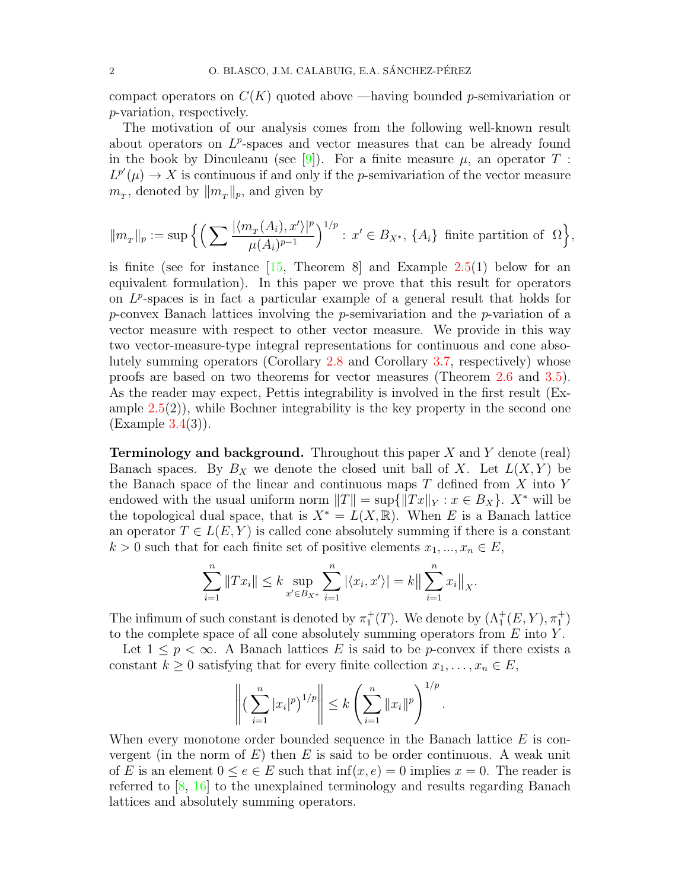compact operators on  $C(K)$  quoted above —having bounded p-semivariation or p-variation, respectively.

The motivation of our analysis comes from the following well-known result about operators on  $L^p$ -spaces and vector measures that can be already found in the book by Dinculeanu (see [\[9\]](#page-12-4)). For a finite measure  $\mu$ , an operator T:  $L^{p'}(\mu) \to X$  is continuous if and only if the *p*-semivariation of the vector measure  $m_T$ , denoted by  $||m_T||_p$ , and given by

$$
\|m_{\scriptscriptstyle T}\|_p:=\sup\Big\{\Big(\sum \frac{|\langle m_{\scriptscriptstyle T}(A_i), x'\rangle|^p}{\mu(A_i)^{p-1}}\Big)^{1/p}:\, x'\in B_{X^*},\,\{A_i\}\,\text{ finite partition of }\,\,\Omega\Big\},
$$

is finite (see for instance  $\begin{bmatrix} 15 \\ 10 \end{bmatrix}$ , Theorem 8 and Example [2.5\(](#page-5-0)1) below for an equivalent formulation). In this paper we prove that this result for operators on  $L^p$ -spaces is in fact a particular example of a general result that holds for p-convex Banach lattices involving the p-semivariation and the p-variation of a vector measure with respect to other vector measure. We provide in this way two vector-measure-type integral representations for continuous and cone absolutely summing operators (Corollary [2.8](#page-7-0) and Corollary [3.7,](#page-11-0) respectively) whose proofs are based on two theorems for vector measures (Theorem [2.6](#page-6-0) and [3.5\)](#page-10-0). As the reader may expect, Pettis integrability is involved in the first result (Example  $2.5(2)$  $2.5(2)$ , while Bochner integrability is the key property in the second one (Example [3.4\(](#page-10-1)3)).

**Terminology and background.** Throughout this paper  $X$  and  $Y$  denote (real) Banach spaces. By  $B_X$  we denote the closed unit ball of X. Let  $L(X, Y)$  be the Banach space of the linear and continuous maps  $T$  defined from  $X$  into  $Y$ endowed with the usual uniform norm  $||T|| = \sup{||Tx||_Y : x \in B_X}$ . X<sup>\*</sup> will be the topological dual space, that is  $X^* = L(X, \mathbb{R})$ . When E is a Banach lattice an operator  $T \in L(E, Y)$  is called cone absolutely summing if there is a constant  $k > 0$  such that for each finite set of positive elements  $x_1, ..., x_n \in E$ ,

$$
\sum_{i=1}^{n} \|Tx_i\| \le k \sup_{x' \in B_{X^*}} \sum_{i=1}^{n} |\langle x_i, x' \rangle| = k \Big\| \sum_{i=1}^{n} x_i \Big\|_{X}.
$$

The infimum of such constant is denoted by  $\pi_1^+(T)$ . We denote by  $(\Lambda_1^+(E, Y), \pi_1^+)$ to the complete space of all cone absolutely summing operators from  $E$  into  $Y$ .

Let  $1 \leq p < \infty$ . A Banach lattices E is said to be p-convex if there exists a constant  $k \geq 0$  satisfying that for every finite collection  $x_1, \ldots, x_n \in E$ ,

$$
\left\| \left( \sum_{i=1}^n |x_i|^p \right)^{1/p} \right\| \leq k \left( \sum_{i=1}^n \|x_i\|^p \right)^{1/p}.
$$

When every monotone order bounded sequence in the Banach lattice  $E$  is convergent (in the norm of  $E$ ) then  $E$  is said to be order continuous. A weak unit of E is an element  $0 \le e \in E$  such that  $\inf(x, e) = 0$  implies  $x = 0$ . The reader is referred to [\[8,](#page-12-6) [16\]](#page-12-7) to the unexplained terminology and results regarding Banach lattices and absolutely summing operators.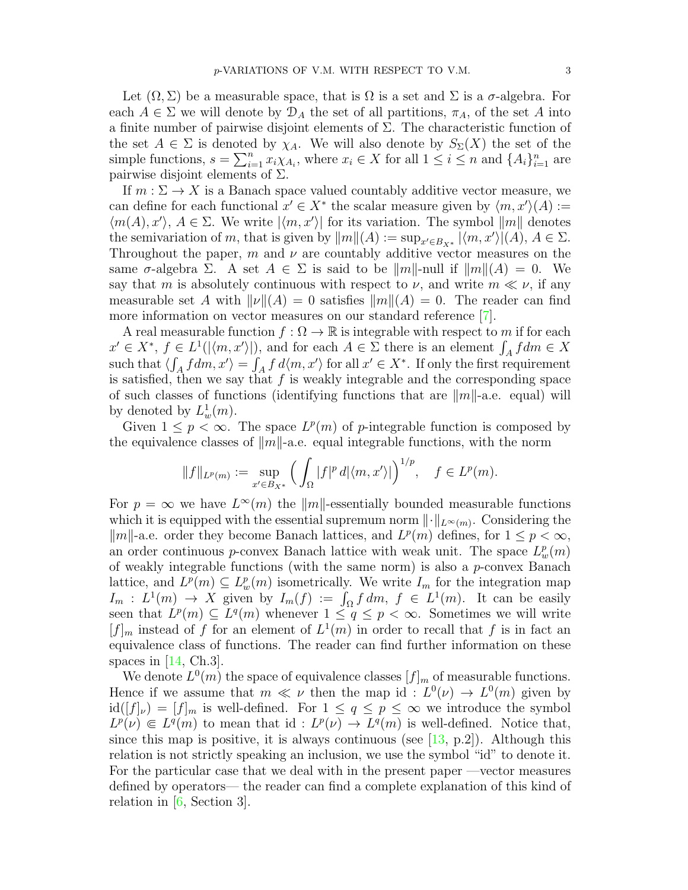Let  $(\Omega, \Sigma)$  be a measurable space, that is  $\Omega$  is a set and  $\Sigma$  is a  $\sigma$ -algebra. For each  $A \in \Sigma$  we will denote by  $\mathcal{D}_A$  the set of all partitions,  $\pi_A$ , of the set A into a finite number of pairwise disjoint elements of Σ. The characteristic function of the set  $A \in \Sigma$  is denoted by  $\chi_A$ . We will also denote by  $S_{\Sigma}(X)$  the set of the simple functions,  $s = \sum_{i=1}^n x_i \chi_{A_i}$ , where  $x_i \in X$  for all  $1 \leq i \leq n$  and  $\{A_i\}_{i=1}^n$  are pairwise disjoint elements of  $\Sigma$ .

If  $m : \Sigma \to X$  is a Banach space valued countably additive vector measure, we can define for each functional  $x' \in X^*$  the scalar measure given by  $\langle m, x' \rangle (A) :=$  $\langle m(A), x' \rangle$ ,  $A \in \Sigma$ . We write  $|\langle m, x' \rangle|$  for its variation. The symbol  $||m||$  denotes the semivariation of m, that is given by  $||m||(A) := \sup_{x' \in B_{X^*}} |\langle m, x' \rangle|(A), A \in \Sigma$ . Throughout the paper, m and  $\nu$  are countably additive vector measures on the same  $\sigma$ -algebra  $\Sigma$ . A set  $A \in \Sigma$  is said to be  $||m||$ -null if  $||m||(A) = 0$ . We say that m is absolutely continuous with respect to  $\nu$ , and write  $m \ll \nu$ , if any measurable set A with  $\|\nu\|(A) = 0$  satisfies  $\|m\|(A) = 0$ . The reader can find more information on vector measures on our standard reference [\[7\]](#page-12-8).

A real measurable function  $f : \Omega \to \mathbb{R}$  is integrable with respect to m if for each  $x' \in X^*, f \in L^1(|\langle m, x' \rangle|)$ , and for each  $A \in \Sigma$  there is an element  $\int_A f dm \in X$ such that  $\langle \int_A f dm, x' \rangle = \int_A f d\langle m, x' \rangle$  for all  $x' \in X^*$ . If only the first requirement is satisfied, then we say that  $f$  is weakly integrable and the corresponding space of such classes of functions (identifying functions that are  $\|m\|$ -a.e. equal) will by denoted by  $L_w^1(m)$ .

Given  $1 \leq p < \infty$ . The space  $L^p(m)$  of p-integrable function is composed by the equivalence classes of  $\|m\|$ -a.e. equal integrable functions, with the norm

$$
||f||_{L^p(m)} := \sup_{x' \in B_{X^*}} \left( \int_{\Omega} |f|^p \, d|\langle m, x' \rangle| \right)^{1/p}, \quad f \in L^p(m).
$$

For  $p = \infty$  we have  $L^{\infty}(m)$  the  $||m||$ -essentially bounded measurable functions which it is equipped with the essential supremum norm  $\lVert \cdot \rVert_{L^{\infty}(m)}$ . Considering the  $\|m\|$ -a.e. order they become Banach lattices, and  $L^p(m)$  defines, for  $1 \leq p < \infty$ , an order continuous *p*-convex Banach lattice with weak unit. The space  $L_w^p(m)$ of weakly integrable functions (with the same norm) is also a p-convex Banach lattice, and  $L^p(m) \subseteq L^p_w(m)$  isometrically. We write  $I_m$  for the integration map  $I_m: L^1(m) \to X$  given by  $I_m(f) := \int_{\Omega} f dm$ ,  $f \in L^1(m)$ . It can be easily seen that  $L^p(m) \subseteq L^q(m)$  whenever  $1 \leq q \leq p < \infty$ . Sometimes we will write  $[f]_m$  instead of f for an element of  $L^1(m)$  in order to recall that f is in fact an equivalence class of functions. The reader can find further information on these spaces in  $[14, Ch.3]$  $[14, Ch.3]$ .

We denote  $L^0(m)$  the space of equivalence classes  $[f]_m$  of measurable functions. Hence if we assume that  $m \ll \nu$  then the map id:  $L^0(\nu) \to L^0(m)$  given by  $\text{id}([f]_{\nu}) = [f]_{m}$  is well-defined. For  $1 \leq q \leq p \leq \infty$  we introduce the symbol  $L^p(\nu) \in L^q(m)$  to mean that id:  $L^p(\nu) \to L^q(m)$  is well-defined. Notice that, since this map is positive, it is always continuous (see [\[13,](#page-12-9) p.2]). Although this relation is not strictly speaking an inclusion, we use the symbol "id" to denote it. For the particular case that we deal with in the present paper —vector measures defined by operators— the reader can find a complete explanation of this kind of relation in  $[6, Section 3]$  $[6, Section 3]$ .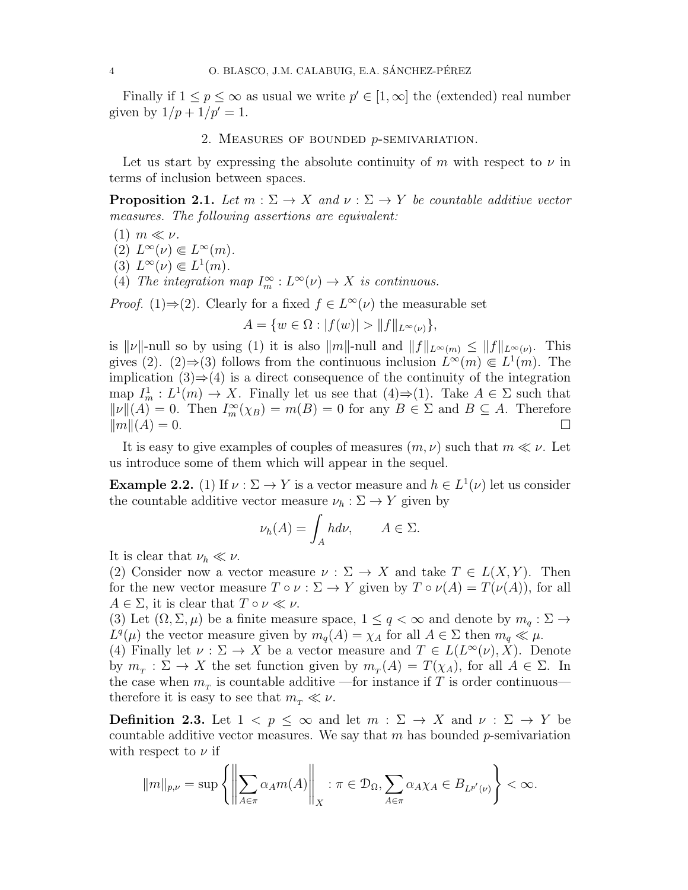Finally if  $1 \leq p \leq \infty$  as usual we write  $p' \in [1, \infty]$  the (extended) real number given by  $1/p + 1/p' = 1$ .

#### 2. Measures of bounded p-semivariation.

Let us start by expressing the absolute continuity of m with respect to  $\nu$  in terms of inclusion between spaces.

**Proposition 2.1.** Let  $m : \Sigma \to X$  and  $\nu : \Sigma \to Y$  be countable additive vector measures. The following assertions are equivalent:

- $(1)$   $m \ll \nu$ .
- $(2) L^{\infty}(\nu) \in L^{\infty}(m)$ .
- $(3) L^{\infty}(\nu) \in L^{1}(m)$ .
- (4) The integration map  $I_m^{\infty}: L^{\infty}(\nu) \to X$  is continuous.

*Proof.* (1)⇒(2). Clearly for a fixed  $f \in L^{\infty}(\nu)$  the measurable set

 $A = \{w \in \Omega : |f(w)| > ||f||_{L^{\infty}(\nu)}\},\$ 

is  $\|\nu\|$ -null so by using (1) it is also  $\|m\|$ -null and  $\|f\|_{L^{\infty}(m)} \leq \|f\|_{L^{\infty}(\nu)}$ . This gives (2). (2)  $\Rightarrow$  (3) follows from the continuous inclusion  $L^{\infty}(m) \in L^{1}(m)$ . The implication  $(3) \Rightarrow (4)$  is a direct consequence of the continuity of the integration map  $I_m^1: L^1(m) \to X$ . Finally let us see that  $(4) \Rightarrow (1)$ . Take  $A \in \Sigma$  such that  $\|\nu\|(A) = 0$ . Then  $I_m^{\infty}(\chi_B) = m(B) = 0$  for any  $B \in \Sigma$  and  $B \subseteq A$ . Therefore  $\mathbb{R}m\mathbb{R}(A) = 0.$ 

It is easy to give examples of couples of measures  $(m, \nu)$  such that  $m \ll \nu$ . Let us introduce some of them which will appear in the sequel.

**Example 2.2.** (1) If  $\nu : \Sigma \to Y$  is a vector measure and  $h \in L^1(\nu)$  let us consider the countable additive vector measure  $\nu_h : \Sigma \to Y$  given by

$$
\nu_h(A) = \int_A h d\nu, \qquad A \in \Sigma.
$$

It is clear that  $\nu_h \ll \nu$ .

(2) Consider now a vector measure  $\nu : \Sigma \to X$  and take  $T \in L(X, Y)$ . Then for the new vector measure  $T \circ \nu : \Sigma \to Y$  given by  $T \circ \nu(A) = T(\nu(A))$ , for all  $A \in \Sigma$ , it is clear that  $T \circ \nu \ll \nu$ .

(3) Let  $(\Omega, \Sigma, \mu)$  be a finite measure space,  $1 \leq q < \infty$  and denote by  $m_q : \Sigma \to$  $L^q(\mu)$  the vector measure given by  $m_q(A) = \chi_A$  for all  $A \in \Sigma$  then  $m_q \ll \mu$ .

(4) Finally let  $\nu : \Sigma \to X$  be a vector measure and  $T \in L(L^{\infty}(\nu), X)$ . Denote by  $m_T : \Sigma \to X$  the set function given by  $m_T(A) = T(\chi_A)$ , for all  $A \in \Sigma$ . In the case when  $m<sub>T</sub>$  is countable additive —for instance if T is order continuous therefore it is easy to see that  $m_{\tau} \ll \nu$ .

**Definition 2.3.** Let  $1 < p \leq \infty$  and let  $m : \Sigma \to X$  and  $\nu : \Sigma \to Y$  be countable additive vector measures. We say that  $m$  has bounded  $p$ -semivariation with respect to  $\nu$  if

$$
\|m\|_{p,\nu} = \sup \left\{ \left\| \sum_{A \in \pi} \alpha_A m(A) \right\|_X : \pi \in \mathcal{D}_{\Omega}, \sum_{A \in \pi} \alpha_A \chi_A \in B_{L^{p'}(\nu)} \right\} < \infty.
$$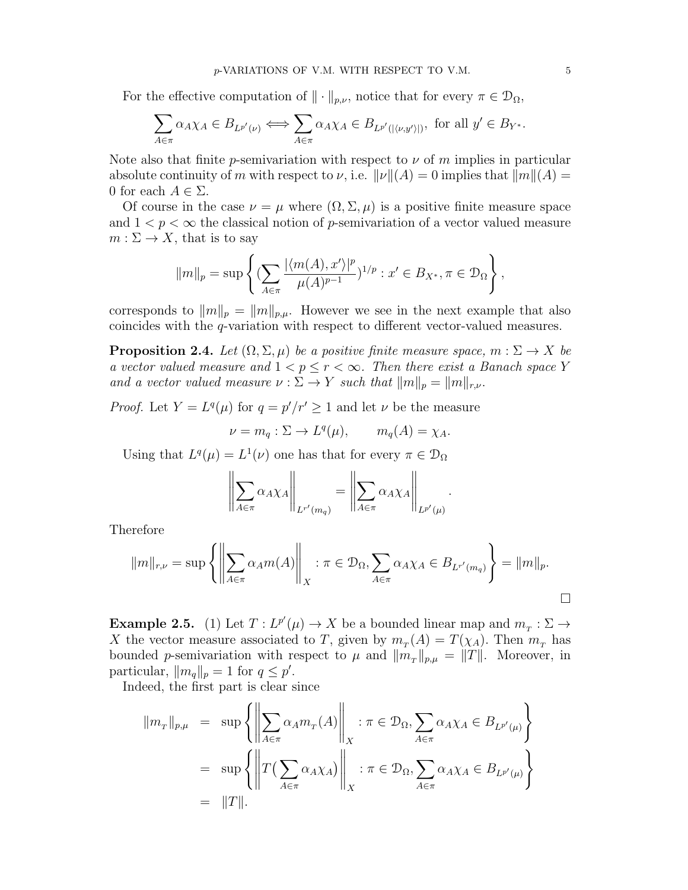For the effective computation of  $\|\cdot\|_{p,\nu}$ , notice that for every  $\pi \in \mathcal{D}_{\Omega}$ ,

$$
\sum_{A \in \pi} \alpha_A \chi_A \in B_{L^{p'}(\nu)} \Longleftrightarrow \sum_{A \in \pi} \alpha_A \chi_A \in B_{L^{p'}(|\langle \nu, y' \rangle|)}, \text{ for all } y' \in B_{Y^*}.
$$

Note also that finite p-semivariation with respect to  $\nu$  of m implies in particular absolute continuity of m with respect to  $\nu$ , i.e.  $\|\nu\|(A) = 0$  implies that  $\|m\|(A) =$ 0 for each  $A \in \Sigma$ .

Of course in the case  $\nu = \mu$  where  $(\Omega, \Sigma, \mu)$  is a positive finite measure space and  $1 < p < \infty$  the classical notion of p-semivariation of a vector valued measure  $m: \Sigma \to X$ , that is to say

$$
||m||_p = \sup \left\{ \left( \sum_{A \in \pi} \frac{|\langle m(A), x' \rangle|^p}{\mu(A)^{p-1}} \right)^{1/p} : x' \in B_{X^*}, \pi \in \mathcal{D}_{\Omega} \right\},\
$$

corresponds to  $||m||_p = ||m||_{p,\mu}$ . However we see in the next example that also coincides with the q-variation with respect to different vector-valued measures.

<span id="page-5-1"></span>**Proposition 2.4.** Let  $(\Omega, \Sigma, \mu)$  be a positive finite measure space,  $m : \Sigma \to X$  be a vector valued measure and  $1 < p \leq r < \infty$ . Then there exist a Banach space Y and a vector valued measure  $\nu : \Sigma \to Y$  such that  $||m||_p = ||m||_{r,\nu}$ .

*Proof.* Let  $Y = L^q(\mu)$  for  $q = p'/r' \geq 1$  and let  $\nu$  be the measure

$$
\nu = m_q : \Sigma \to L^q(\mu), \qquad m_q(A) = \chi_A.
$$

Using that  $L^q(\mu) = L^1(\nu)$  one has that for every  $\pi \in \mathcal{D}_{\Omega}$ 

$$
\left\| \sum_{A \in \pi} \alpha_A \chi_A \right\|_{L^{r'}(m_q)} = \left\| \sum_{A \in \pi} \alpha_A \chi_A \right\|_{L^{p'}(\mu)}
$$

.

Therefore

$$
||m||_{r,\nu} = \sup \left\{ \left\| \sum_{A \in \pi} \alpha_A m(A) \right\|_X : \pi \in \mathcal{D}_{\Omega}, \sum_{A \in \pi} \alpha_A \chi_A \in B_{L^{r'}(m_q)} \right\} = ||m||_p.
$$

<span id="page-5-0"></span>**Example 2.5.** (1) Let  $T: L^{p'}(\mu) \to X$  be a bounded linear map and  $m_T: \Sigma \to X$ X the vector measure associated to T, given by  $m_T(A) = T(\chi_A)$ . Then  $m_T$  has bounded *p*-semivariation with respect to  $\mu$  and  $||m_T||_{p,\mu} = ||T||$ . Moreover, in particular,  $||m_q||_p = 1$  for  $q \leq p'$ .

Indeed, the first part is clear since

$$
\begin{array}{rcl}\n\|m_{\scriptscriptstyle T}\|_{p,\mu} & = & \sup\left\{\left\|\sum_{A\in\pi}\alpha_A m_{\scriptscriptstyle T}(A)\right\|_{X} : \pi\in\mathcal{D}_{\Omega}, \sum_{A\in\pi}\alpha_A\chi_A\in B_{L^{p'}(\mu)}\right\} \\
& = & \sup\left\{\left\|T\left(\sum_{A\in\pi}\alpha_A\chi_A\right)\right\|_{X} : \pi\in\mathcal{D}_{\Omega}, \sum_{A\in\pi}\alpha_A\chi_A\in B_{L^{p'}(\mu)}\right\} \\
& = & \|T\|. \end{array}
$$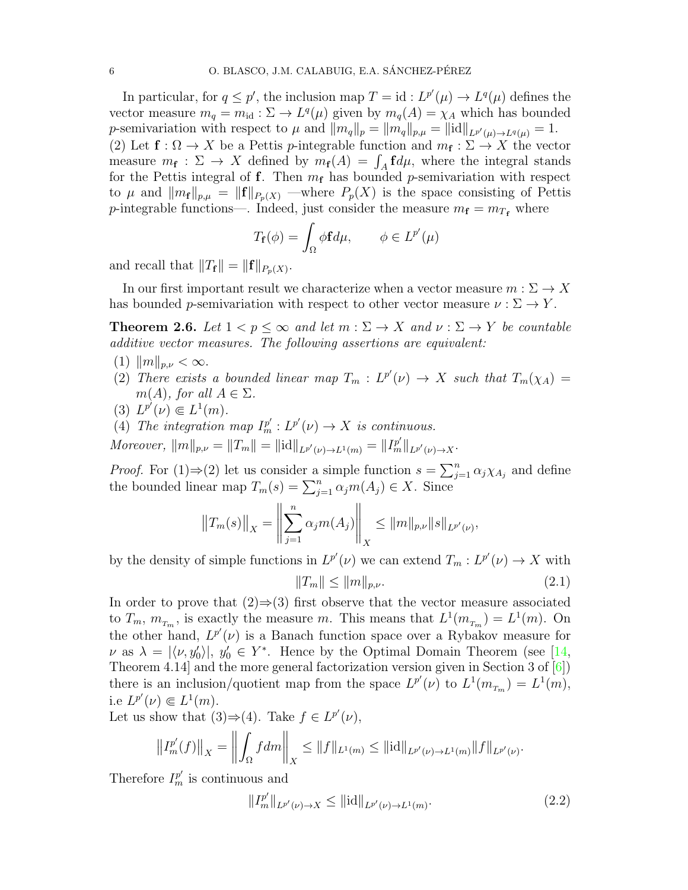In particular, for  $q \leq p'$ , the inclusion map  $T = id : L^{p'}(\mu) \to L^q(\mu)$  defines the vector measure  $m_q = m_{\text{id}} : \Sigma \to L^q(\mu)$  given by  $m_q(A) = \chi_A$  which has bounded p-semivariation with respect to  $\mu$  and  $||m_q||_p = ||m_q||_{p,\mu} = ||\text{id}||_{L^{p'}(\mu) \to L^q(\mu)} = 1.$ (2) Let  $f: \Omega \to X$  be a Pettis *p*-integrable function and  $m_f: \Sigma \to X$  the vector measure  $m_f: \Sigma \to X$  defined by  $m_f(A) = \int_A f d\mu$ , where the integral stands for the Pettis integral of f. Then  $m_f$  has bounded p-semivariation with respect to  $\mu$  and  $||m_f||_{p,\mu} = ||f||_{P_p(X)}$  —where  $P_p(X)$  is the space consisting of Pettis p-integrable functions—. Indeed, just consider the measure  $m_f = m_{T_f}$  where

$$
T_{\mathbf{f}}(\phi) = \int_{\Omega} \phi \mathbf{f} d\mu, \qquad \phi \in L^{p'}(\mu)
$$

and recall that  $||T_f|| = ||f||_{P_p(X)}$ .

In our first important result we characterize when a vector measure  $m : \Sigma \to X$ has bounded p-semivariation with respect to other vector measure  $\nu : \Sigma \to Y$ .

<span id="page-6-0"></span>**Theorem 2.6.** Let  $1 < p \le \infty$  and let  $m : \Sigma \to X$  and  $\nu : \Sigma \to Y$  be countable additive vector measures. The following assertions are equivalent:

- (1)  $||m||_{p,\nu} < \infty$ .
- (2) There exists a bounded linear map  $T_m : L^{p'}(\nu) \to X$  such that  $T_m(\chi_A) =$  $m(A)$ , for all  $A \in \Sigma$ .
- (3)  $L^{p'}(\nu) \in L^1(m)$ .
- (4) The integration map  $I_m^{p'}: L^{p'}(\nu) \to X$  is continuous.

Moreover,  $||m||_{p,\nu} = ||T_m|| = ||\mathrm{id}||_{L^{p'}(\nu) \to L^1(m)} = ||I_m^{p'}||_{L^{p'}(\nu) \to X}.$ 

*Proof.* For (1)⇒(2) let us consider a simple function  $s = \sum_{j=1}^{n} \alpha_j \chi_{A_j}$  and define the bounded linear map  $T_m(s) = \sum_{j=1}^n \alpha_j m(A_j) \in X$ . Since

$$
||T_m(s)||_X = \left\|\sum_{j=1}^n \alpha_j m(A_j)\right\|_X \le ||m||_{p,\nu} ||s||_{L^{p'}(\nu)},
$$

by the density of simple functions in  $L^{p'}(\nu)$  we can extend  $T_m: L^{p'}(\nu) \to X$  with

<span id="page-6-1"></span>
$$
||T_m|| \le ||m||_{p,\nu}.
$$
\n(2.1)

In order to prove that  $(2) \Rightarrow (3)$  first observe that the vector measure associated to  $T_m$ ,  $m_{T_m}$ , is exactly the measure m. This means that  $L^1(m_{T_m}) = L^1(m)$ . On the other hand,  $L^{p'}(\nu)$  is a Banach function space over a Rybakov measure for  $\nu$  as  $\lambda = |\langle \nu, y'_0 \rangle|, y'_0 \in Y^*$ . Hence by the Optimal Domain Theorem (see [\[14,](#page-12-3) Theorem 4.14] and the more general factorization version given in Section 3 of [\[6\]](#page-12-10)) there is an inclusion/quotient map from the space  $L^{p'}(\nu)$  to  $L^1(m_{T_m}) = L^1(m)$ , i.e  $L^{p'}(\nu) \in L^1(m)$ .

Let us show that  $(3) \Rightarrow (4)$ . Take  $f \in L^{p'}(\nu)$ ,

$$
\left\|I_m^{p'}(f)\right\|_X = \left\|\int_{\Omega} f dm\right\|_X \le \|f\|_{L^1(m)} \le \|\mathrm{id}\|_{L^{p'}(\nu) \to L^1(m)} \|f\|_{L^{p'}(\nu)}.
$$

Therefore  $I_m^{p'}$  is continuous and

<span id="page-6-2"></span>
$$
||I_m^{p'}||_{L^{p'}(\nu)\to X} \le ||\mathrm{id}||_{L^{p'}(\nu)\to L^1(m)}.\tag{2.2}
$$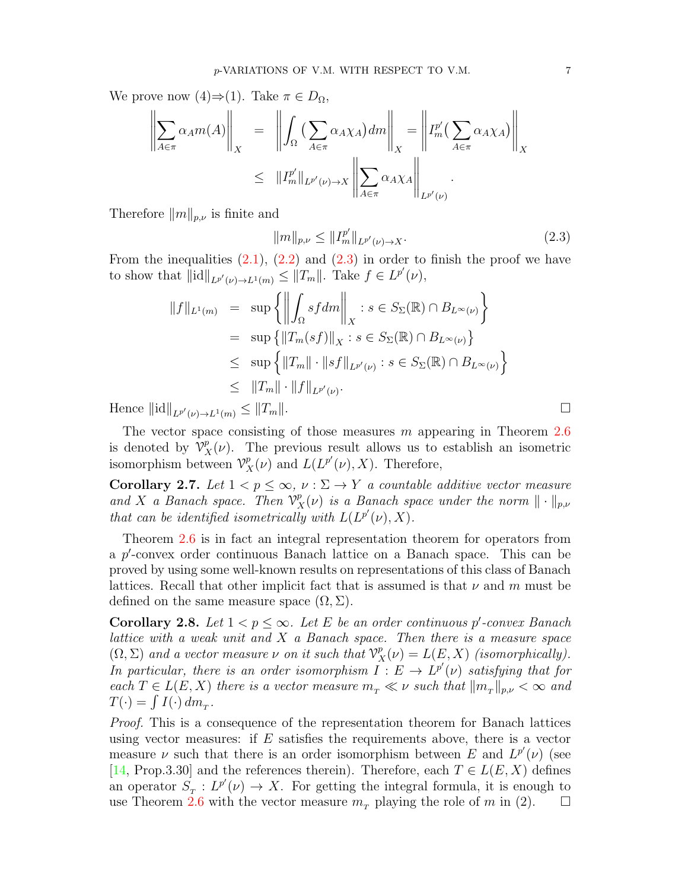We prove now  $(4) \Rightarrow (1)$ . Take  $\pi \in D_{\Omega}$ ,

$$
\left\| \sum_{A \in \pi} \alpha_A m(A) \right\|_X = \left\| \int_{\Omega} \left( \sum_{A \in \pi} \alpha_A \chi_A \right) dm \right\|_X = \left\| I_m^{p'} \left( \sum_{A \in \pi} \alpha_A \chi_A \right) \right\|_X
$$
  

$$
\leq \| I_m^{p'} \|_{L^{p'}(\nu) \to X} \left\| \sum_{A \in \pi} \alpha_A \chi_A \right\|_{L^{p'}(\nu)}.
$$

Therefore  $||m||_{p,\nu}$  is finite and

<span id="page-7-1"></span>
$$
||m||_{p,\nu} \le ||I_m^{p'}||_{L^{p'}(\nu) \to X}.
$$
\n(2.3)

From the inequalities  $(2.1)$ ,  $(2.2)$  and  $(2.3)$  in order to finish the proof we have to show that  $\|\mathrm{id}\|_{L^{p'}(\nu)\to L^1(m)} \leq \|T_m\|$ . Take  $f \in L^{p'}(\nu)$ ,

$$
||f||_{L^{1}(m)} = \sup \left\{ \left\| \int_{\Omega} s f dm \right\|_{X} : s \in S_{\Sigma}(\mathbb{R}) \cap B_{L^{\infty}(\nu)} \right\}
$$
  
\n
$$
= \sup \left\{ ||T_{m}(s f)||_{X} : s \in S_{\Sigma}(\mathbb{R}) \cap B_{L^{\infty}(\nu)} \right\}
$$
  
\n
$$
\leq \sup \left\{ ||T_{m}|| \cdot ||s f||_{L^{p'}(\nu)} : s \in S_{\Sigma}(\mathbb{R}) \cap B_{L^{\infty}(\nu)} \right\}
$$
  
\n
$$
\leq ||T_{m}|| \cdot ||f||_{L^{p'}(\nu)}.
$$

Hence  $\|\mathrm{id}\|_{L^{p'}(\nu)\to L^1(m)} \leq \|T_m\|.$ 

The vector space consisting of those measures  $m$  appearing in Theorem [2.6](#page-6-0) is denoted by  $\mathcal{V}_X^p(\nu)$ . The previous result allows us to establish an isometric isomorphism between  $\mathcal{V}_X^p(\nu)$  and  $L(L^{p'}(\nu), X)$ . Therefore,

Corollary 2.7. Let  $1 < p \leq \infty$ ,  $\nu : \Sigma \to Y$  a countable additive vector measure and X a Banach space. Then  $\mathcal{V}_X^p(\nu)$  is a Banach space under the norm  $\|\cdot\|_{p,\nu}$ that can be identified isometrically with  $L(L^{p'}(\nu), X)$ .

Theorem [2.6](#page-6-0) is in fact an integral representation theorem for operators from a  $p'$ -convex order continuous Banach lattice on a Banach space. This can be proved by using some well-known results on representations of this class of Banach lattices. Recall that other implicit fact that is assumed is that  $\nu$  and m must be defined on the same measure space  $(\Omega, \Sigma)$ .

<span id="page-7-0"></span>**Corollary 2.8.** Let  $1 < p \leq \infty$ . Let E be an order continuous p'-convex Banach lattice with a weak unit and  $X$  a Banach space. Then there is a measure space  $(\Omega, \Sigma)$  and a vector measure  $\nu$  on it such that  $\mathcal{V}_X^p(\nu) = L(E, X)$  (isomorphically). In particular, there is an order isomorphism  $I: E \to L^{p'}(\nu)$  satisfying that for each  $T \in L(E, X)$  there is a vector measure  $m_T \ll \nu$  such that  $||m_T||_{p,\nu} < \infty$  and  $T(\cdot) = \int I(\cdot) dm_T.$ 

Proof. This is a consequence of the representation theorem for Banach lattices using vector measures: if  $E$  satisfies the requirements above, there is a vector measure  $\nu$  such that there is an order isomorphism between E and  $L^{p'}(\nu)$  (see [\[14,](#page-12-3) Prop.3.30] and the references therein). Therefore, each  $T \in L(E, X)$  defines an operator  $S_T : L^{p'}(\nu) \to X$ . For getting the integral formula, it is enough to use Theorem [2.6](#page-6-0) with the vector measure  $m<sub>T</sub>$  playing the role of m in (2).  $\square$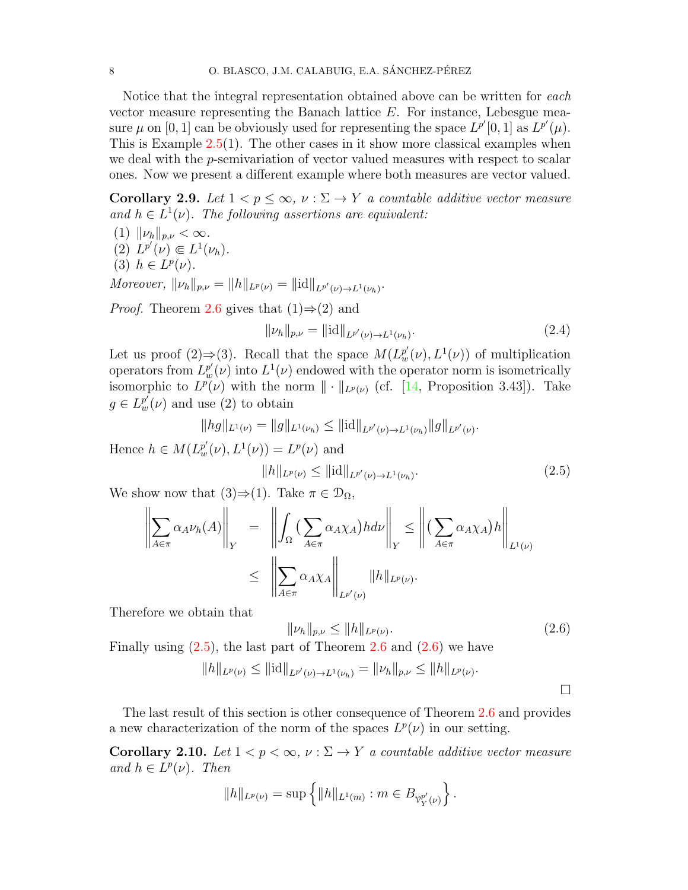Notice that the integral representation obtained above can be written for each vector measure representing the Banach lattice  $E$ . For instance, Lebesgue measure  $\mu$  on [0, 1] can be obviously used for representing the space  $L^{p'}[0, 1]$  as  $L^{p'}(\mu)$ . This is Example  $2.5(1)$  $2.5(1)$ . The other cases in it show more classical examples when we deal with the *p*-semivariation of vector valued measures with respect to scalar ones. Now we present a different example where both measures are vector valued.

<span id="page-8-2"></span>Corollary 2.9. Let  $1 < p \leq \infty$ ,  $\nu : \Sigma \to Y$  a countable additive vector measure and  $h \in L^1(\nu)$ . The following assertions are equivalent:

- (1)  $\|\nu_h\|_{p,\nu} < \infty$ .
- (2)  $L^{p'}(\nu) \in L^1(\nu_h)$ .
- (3)  $h \in L^p(\nu)$ .

Moreover,  $\|\nu_h\|_{p,\nu} = \|h\|_{L^p(\nu)} = \|\mathrm{id}\|_{L^{p'}(\nu) \to L^1(\nu_h)}.$ 

*Proof.* Theorem [2.6](#page-6-0) gives that  $(1) \Rightarrow (2)$  and

$$
\|\nu_h\|_{p,\nu} = \|\text{id}\|_{L^{p'}(\nu) \to L^1(\nu_h)}.\tag{2.4}
$$

Let us proof (2)⇒(3). Recall that the space  $M(L_w^{p'}(\nu), L^1(\nu))$  of multiplication operators from  $L^{p'}_w(\nu)$  into  $L^1(\nu)$  endowed with the operator norm is isometrically isomorphic to  $L^p(\nu)$  with the norm  $\|\cdot\|_{L^p(\nu)}$  (cf. [\[14,](#page-12-3) Proposition 3.43]). Take  $g \in L_{w}^{p'}(\nu)$  and use (2) to obtain

$$
||hg||_{L^1(\nu)} = ||g||_{L^1(\nu_h)} \leq ||id||_{L^{p'}(\nu) \to L^1(\nu_h)} ||g||_{L^{p'}(\nu)}.
$$

Hence  $h \in M(L_w^{p'}(\nu), L^1(\nu)) = L^p(\nu)$  and

<span id="page-8-0"></span>
$$
||h||_{L^{p}(\nu)} \leq ||\text{id}||_{L^{p'}(\nu) \to L^{1}(\nu_{h})}.
$$
\n(2.5)

We show now that  $(3) \Rightarrow (1)$ . Take  $\pi \in \mathcal{D}_{\Omega}$ ,

$$
\left\| \sum_{A \in \pi} \alpha_A \nu_h(A) \right\|_Y = \left\| \int_{\Omega} \left( \sum_{A \in \pi} \alpha_A \chi_A \right) h d\nu \right\|_Y \le \left\| \left( \sum_{A \in \pi} \alpha_A \chi_A \right) h \right\|_{L^1(\nu)}
$$
  

$$
\le \left\| \sum_{A \in \pi} \alpha_A \chi_A \right\|_{L^{p'}(\nu)} \|h\|_{L^p(\nu)}.
$$

Therefore we obtain that

<span id="page-8-1"></span>
$$
\|\nu_h\|_{p,\nu} \le \|h\|_{L^p(\nu)}.\tag{2.6}
$$

Finally using  $(2.5)$ , the last part of Theorem [2.6](#page-6-0) and  $(2.6)$  we have

$$
||h||_{L^{p}(\nu)} \leq ||\mathrm{id}||_{L^{p'}(\nu) \to L^{1}(\nu_{h})} = ||\nu_{h}||_{p,\nu} \leq ||h||_{L^{p}(\nu)}.
$$

The last result of this section is other consequence of Theorem [2.6](#page-6-0) and provides a new characterization of the norm of the spaces  $L^p(\nu)$  in our setting.

Corollary 2.10. Let  $1 < p < \infty$ ,  $\nu : \Sigma \to Y$  a countable additive vector measure and  $h \in L^p(\nu)$ . Then

$$
||h||_{L^{p}(\nu)} = \sup \left\{ ||h||_{L^{1}(m)} : m \in B_{\mathcal{V}_{Y}^{p'}(\nu)} \right\}.
$$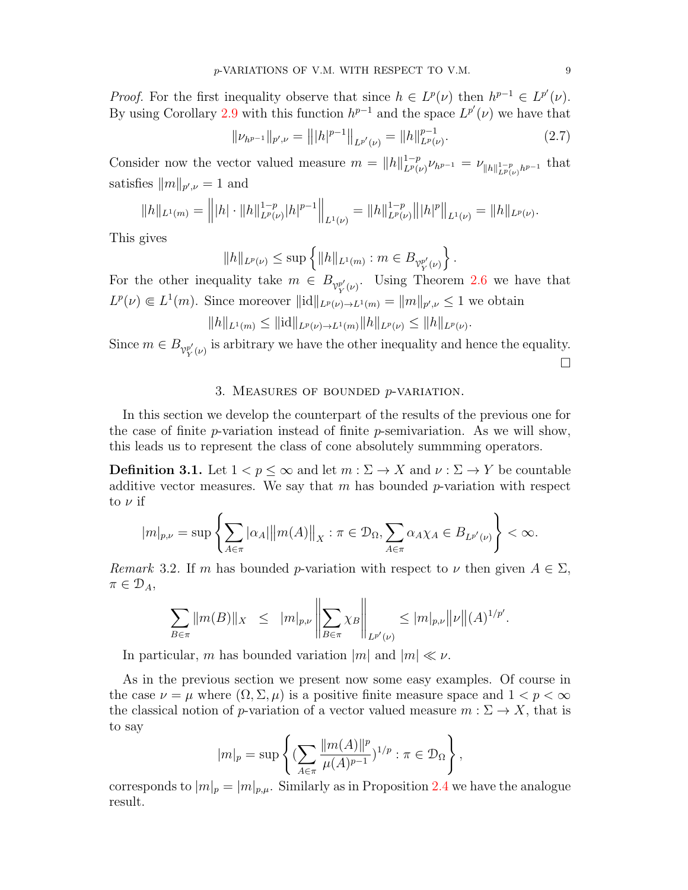*Proof.* For the first inequality observe that since  $h \in L^p(\nu)$  then  $h^{p-1} \in L^{p'}(\nu)$ . By using Corollary [2.9](#page-8-2) with this function  $h^{p-1}$  and the space  $L^{p'}(\nu)$  we have that

$$
||\nu_{h^{p-1}}||_{p',\nu} = |||h|^{p-1}||_{L^{p'}(\nu)} = ||h||_{L^{p}(\nu)}^{p-1}.
$$
\n(2.7)

Consider now the vector valued measure  $m = ||h||_{L^{p}(h)}^{1-p}$  $L^p(\nu)} \nu_{h^{p-1}} = \nu_{\|h\|_{L^p(\nu)}^{1-p}h^{p-1}}$  that satisfies  $||m||_{p',\nu} = 1$  and

$$
||h||_{L^1(m)} = |||h|| \cdot ||h||_{L^p(\nu)}^{1-p} |h|^{p-1} ||_{L^1(\nu)} = ||h||_{L^p(\nu)}^{1-p} |||h|^p ||_{L^1(\nu)} = ||h||_{L^p(\nu)}.
$$

This gives

$$
||h||_{L^{p}(\nu)} \leq \sup \left\{ ||h||_{L^{1}(m)} : m \in B_{\mathcal{V}_{Y}^{p'}(\nu)} \right\}.
$$

For the other inequality take  $m \in B_{\mathcal{V}_{Y}^{p'}(\nu)}$ . Using Theorem [2.6](#page-6-0) we have that  $L^p(\nu) \in L^1(m)$ . Since moreover  $\|\mathrm{id}\|_{L^p(\nu) \to L^1(m)} = \|m\|_{p',\nu} \leq 1$  we obtain

$$
||h||_{L^1(m)} \leq ||\mathrm{id}||_{L^p(\nu) \to L^1(m)} ||h||_{L^p(\nu)} \leq ||h||_{L^p(\nu)}.
$$

Since  $m \in B_{\mathcal{V}^{p'}_{Y}(\nu)}$  is arbitrary we have the other inequality and hence the equality.  $\Box$ 

### 3. Measures of bounded p-variation.

In this section we develop the counterpart of the results of the previous one for the case of finite p-variation instead of finite p-semivariation. As we will show, this leads us to represent the class of cone absolutely summming operators.

**Definition 3.1.** Let  $1 < p \leq \infty$  and let  $m : \Sigma \to X$  and  $\nu : \Sigma \to Y$  be countable additive vector measures. We say that  $m$  has bounded  $p$ -variation with respect to  $\nu$  if

$$
|m|_{p,\nu} = \sup \left\{ \sum_{A \in \pi} |\alpha_A| \|m(A)\|_X : \pi \in \mathcal{D}_{\Omega}, \sum_{A \in \pi} \alpha_A \chi_A \in B_{L^{p'}(\nu)} \right\} < \infty.
$$

Remark 3.2. If m has bounded p-variation with respect to  $\nu$  then given  $A \in \Sigma$ ,  $\pi \in \mathcal{D}_A$ ,

$$
\sum_{B \in \pi} ||m(B)||_X \leq ||m|_{p,\nu} \left\| \sum_{B \in \pi} \chi_B \right\|_{L^{p'}(\nu)} \leq |m|_{p,\nu} ||\nu|| (A)^{1/p'}.
$$

In particular, m has bounded variation  $|m|$  and  $|m| \ll \nu$ .

As in the previous section we present now some easy examples. Of course in the case  $\nu = \mu$  where  $(\Omega, \Sigma, \mu)$  is a positive finite measure space and  $1 < p < \infty$ the classical notion of p-variation of a vector valued measure  $m : \Sigma \to X$ , that is to say

$$
|m|_p = \sup \left\{ \left( \sum_{A \in \pi} \frac{\|m(A)\|^p}{\mu(A)^{p-1}} \right)^{1/p} : \pi \in \mathcal{D}_{\Omega} \right\},\
$$

corresponds to  $|m|_p = |m|_{p,\mu}$ . Similarly as in Proposition [2.4](#page-5-1) we have the analogue result.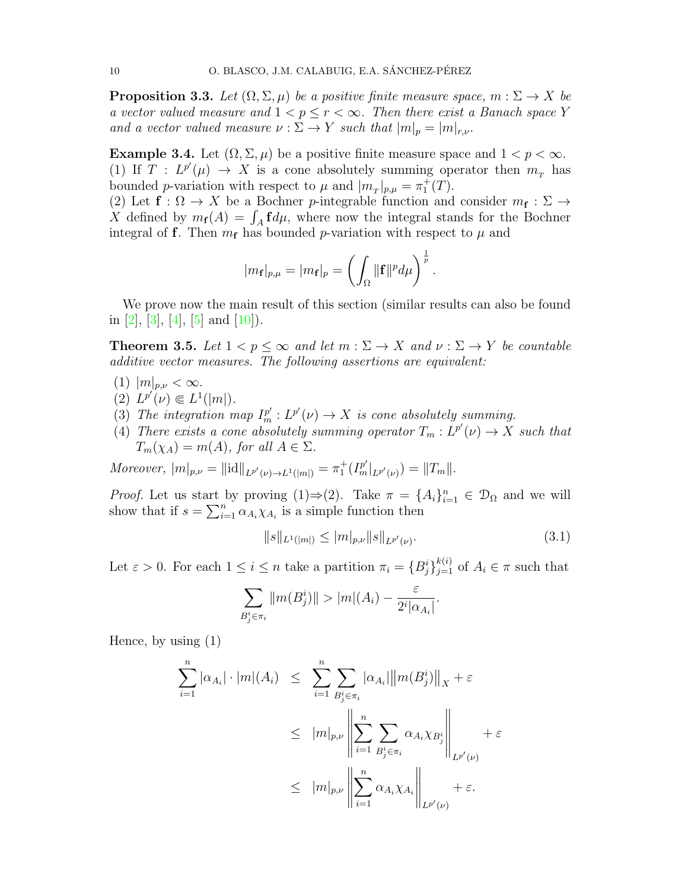**Proposition 3.3.** Let  $(\Omega, \Sigma, \mu)$  be a positive finite measure space,  $m : \Sigma \to X$  be a vector valued measure and  $1 < p \leq r < \infty$ . Then there exist a Banach space Y and a vector valued measure  $\nu : \Sigma \to Y$  such that  $|m|_p = |m|_{r,\nu}$ .

<span id="page-10-1"></span>**Example 3.4.** Let  $(\Omega, \Sigma, \mu)$  be a positive finite measure space and  $1 < p < \infty$ . (1) If  $T : L^{p'}(\mu) \to X$  is a cone absolutely summing operator then  $m_T$  has bounded *p*-variation with respect to  $\mu$  and  $|m_T|_{p,\mu} = \pi_1^+(T)$ .

(2) Let  $f: \Omega \to X$  be a Bochner p-integrable function and consider  $m_f: \Sigma \to$ X defined by  $m_f(A) = \int_A f d\mu$ , where now the integral stands for the Bochner integral of f. Then  $m_f$  has bounded p-variation with respect to  $\mu$  and

$$
|m_{\mathbf{f}}|_{p,\mu}=|m_{\mathbf{f}}|_p=\left(\int_{\Omega}||\mathbf{f}||^p d\mu\right)^{\frac{1}{p}}.
$$

We prove now the main result of this section (similar results can also be found in [\[2\]](#page-12-11), [\[3\]](#page-12-12), [\[4\]](#page-12-13), [\[5\]](#page-12-14) and [\[10\]](#page-12-15)).

<span id="page-10-0"></span>**Theorem 3.5.** Let  $1 < p \leq \infty$  and let  $m : \Sigma \to X$  and  $\nu : \Sigma \to Y$  be countable additive vector measures. The following assertions are equivalent:

- (1)  $|m|_{p,\nu} < \infty$ .
- (2)  $L^{p'}(\nu) \in L^1(|m|)$ .
- (3) The integration map  $I_m^{p'}: L^{p'}(\nu) \to X$  is cone absolutely summing.
- (4) There exists a cone absolutely summing operator  $T_m: L^{p'}(\nu) \to X$  such that  $T_m(\chi_A) = m(A)$ , for all  $A \in \Sigma$ .

Moreover,  $|m|_{p,\nu} = ||\mathrm{id}||_{L^{p'}(\nu) \to L^1(|m|)} = \pi_1^+(I_m^{p'}|_{L^{p'}(\nu)}) = ||T_m||.$ 

*Proof.* Let us start by proving  $(1) \Rightarrow (2)$ . Take  $\pi = \{A_i\}_{i=1}^n \in \mathcal{D}_{\Omega}$  and we will show that if  $s = \sum_{i=1}^{n} \alpha_{A_i} \chi_{A_i}$  is a simple function then

<span id="page-10-2"></span>
$$
||s||_{L^{1}(|m|)} \le |m|_{p,\nu} ||s||_{L^{p'}(\nu)}.
$$
\n(3.1)

Let  $\varepsilon > 0$ . For each  $1 \leq i \leq n$  take a partition  $\pi_i = \{B_j^i\}_{j=1}^{k(i)}$  of  $A_i \in \pi$  such that

$$
\sum_{B_j^i \in \pi_i} ||m(B_j^i)|| > |m|(A_i) - \frac{\varepsilon}{2^i |\alpha_{A_i}|}.
$$

Hence, by using (1)

$$
\sum_{i=1}^{n} |\alpha_{A_i}| \cdot |m|(A_i) \leq \sum_{i=1}^{n} \sum_{B_j^i \in \pi_i} |\alpha_{A_i}| ||m(B_j^i)||_X + \varepsilon
$$
  

$$
\leq |m|_{p,\nu} \left\| \sum_{i=1}^{n} \sum_{B_j^i \in \pi_i} \alpha_{A_i} \chi_{B_j^i} \right\|_{L^{p'}(\nu)} + \varepsilon
$$
  

$$
\leq |m|_{p,\nu} \left\| \sum_{i=1}^{n} \alpha_{A_i} \chi_{A_i} \right\|_{L^{p'}(\nu)} + \varepsilon.
$$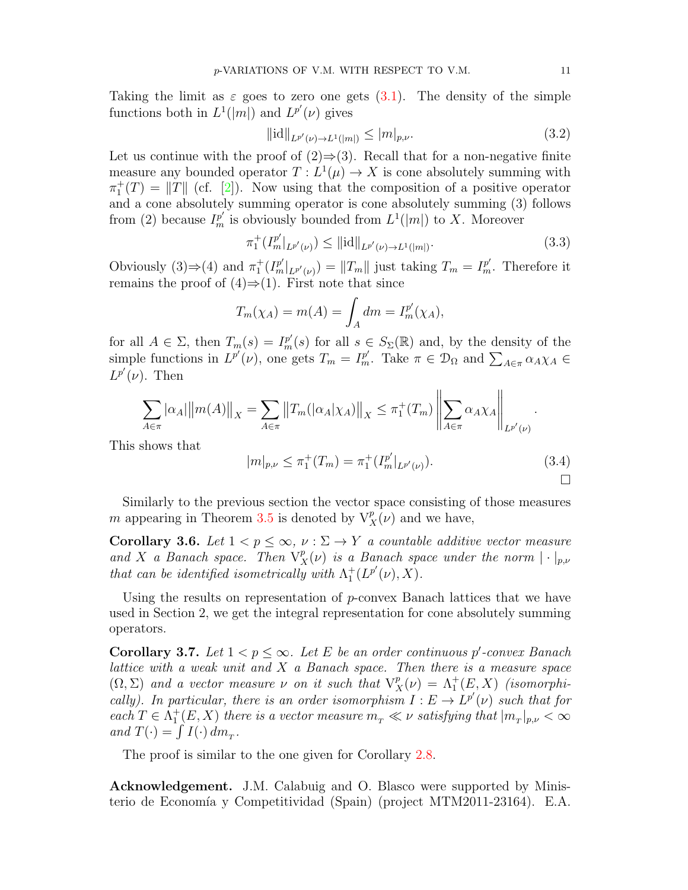Taking the limit as  $\varepsilon$  goes to zero one gets [\(3.1\)](#page-10-2). The density of the simple functions both in  $L^1(|m|)$  and  $L^{p'}(\nu)$  gives

$$
\|\text{id}\|_{L^{p'}(\nu)\to L^1(|m|)} \le |m|_{p,\nu}.\tag{3.2}
$$

Let us continue with the proof of  $(2) \Rightarrow (3)$ . Recall that for a non-negative finite measure any bounded operator  $T: L^1(\mu) \to X$  is cone absolutely summing with  $\pi_1^+(T) = ||T||$  (cf. [\[2\]](#page-12-11)). Now using that the composition of a positive operator and a cone absolutely summing operator is cone absolutely summing (3) follows from (2) because  $I_m^{p'}$  is obviously bounded from  $L^1(|m|)$  to X. Moreover

$$
\pi_1^+(I_m^{p'}|_{L^{p'}(\nu)}) \le ||\mathrm{id}||_{L^{p'}(\nu) \to L^1(|m|)}.\tag{3.3}
$$

Obviously (3)⇒(4) and  $\pi_1^+(I_m^{p'}|_{L^{p'}(\nu)}) = ||T_m||$  just taking  $T_m = I_m^{p'}$ . Therefore it remains the proof of  $(4) \Rightarrow (1)$ . First note that since

$$
T_m(\chi_A) = m(A) = \int_A dm = I_m^{p'}(\chi_A),
$$

for all  $A \in \Sigma$ , then  $T_m(s) = I_m^{p'}(s)$  for all  $s \in S_{\Sigma}(\mathbb{R})$  and, by the density of the simple functions in  $L^{p'}(\nu)$ , one gets  $T_m = I^{p'}_m$ . Take  $\pi \in \mathcal{D}_{\Omega}$  and  $\sum_{A \in \pi} \alpha_A \chi_A \in$  $L^{p'}(\nu)$ . Then

$$
\sum_{A \in \pi} |\alpha_A| \|m(A)\|_X = \sum_{A \in \pi} \|T_m(|\alpha_A|\chi_A)\|_X \leq \pi_1^+(T_m) \left\| \sum_{A \in \pi} \alpha_A \chi_A \right\|_{L^{p'}(\nu)}.
$$

This shows that

$$
|m|_{p,\nu} \le \pi_1^+(T_m) = \pi_1^+(I_m^{p'}|_{L^{p'}(\nu)}).
$$
\n(3.4)

Similarly to the previous section the vector space consisting of those measures m appearing in Theorem [3.5](#page-10-0) is denoted by  $V_X^p(\nu)$  and we have,

Corollary 3.6. Let  $1 < p \leq \infty$ ,  $\nu : \Sigma \to Y$  a countable additive vector measure and X a Banach space. Then  $V_X^p(\nu)$  is a Banach space under the norm  $|\cdot|_{p,\nu}$ that can be identified isometrically with  $\Lambda_1^+(L^{p'}(\nu),X)$ .

Using the results on representation of p-convex Banach lattices that we have used in Section 2, we get the integral representation for cone absolutely summing operators.

<span id="page-11-0"></span>Corollary 3.7. Let  $1 < p \leq \infty$ . Let E be an order continuous p'-convex Banach lattice with a weak unit and  $X$  a Banach space. Then there is a measure space  $(\Omega, \Sigma)$  and a vector measure  $\nu$  on it such that  $V_X^p(\nu) = \Lambda_1^+(E, X)$  (isomorphically). In particular, there is an order isomorphism  $I: E \to L^{p'}(\nu)$  such that for each  $T \in \Lambda^+_1(E, X)$  there is a vector measure  $m_T \ll \nu$  satisfying that  $|m_T|_{p,\nu} < \infty$ and  $T(\cdot) = \int I(\cdot) dm_T$ .

The proof is similar to the one given for Corollary [2.8.](#page-7-0)

Acknowledgement. J.M. Calabuig and O. Blasco were supported by Ministerio de Economía y Competitividad (Spain) (project MTM2011-23164). E.A.